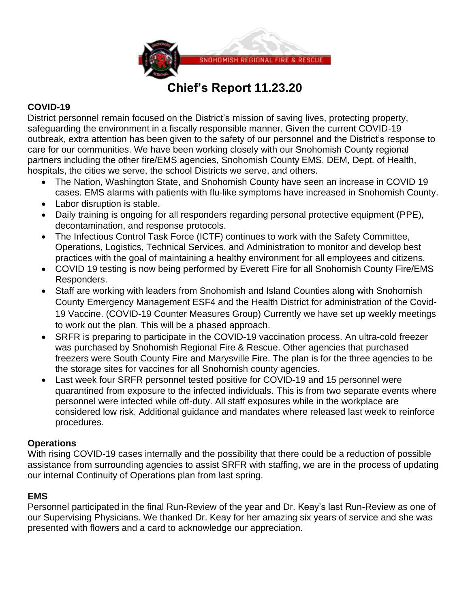

# **Chief's Report 11.23.20**

# **COVID-19**

District personnel remain focused on the District's mission of saving lives, protecting property, safeguarding the environment in a fiscally responsible manner. Given the current COVID-19 outbreak, extra attention has been given to the safety of our personnel and the District's response to care for our communities. We have been working closely with our Snohomish County regional partners including the other fire/EMS agencies, Snohomish County EMS, DEM, Dept. of Health, hospitals, the cities we serve, the school Districts we serve, and others.

- The Nation, Washington State, and Snohomish County have seen an increase in COVID 19 cases. EMS alarms with patients with flu-like symptoms have increased in Snohomish County.
- Labor disruption is stable.
- Daily training is ongoing for all responders regarding personal protective equipment (PPE), decontamination, and response protocols.
- The Infectious Control Task Force (ICTF) continues to work with the Safety Committee, Operations, Logistics, Technical Services, and Administration to monitor and develop best practices with the goal of maintaining a healthy environment for all employees and citizens.
- COVID 19 testing is now being performed by Everett Fire for all Snohomish County Fire/EMS Responders.
- Staff are working with leaders from Snohomish and Island Counties along with Snohomish County Emergency Management ESF4 and the Health District for administration of the Covid-19 Vaccine. (COVID-19 Counter Measures Group) Currently we have set up weekly meetings to work out the plan. This will be a phased approach.
- SRFR is preparing to participate in the COVID-19 vaccination process. An ultra-cold freezer was purchased by Snohomish Regional Fire & Rescue. Other agencies that purchased freezers were South County Fire and Marysville Fire. The plan is for the three agencies to be the storage sites for vaccines for all Snohomish county agencies.
- Last week four SRFR personnel tested positive for COVID-19 and 15 personnel were quarantined from exposure to the infected individuals. This is from two separate events where personnel were infected while off-duty. All staff exposures while in the workplace are considered low risk. Additional guidance and mandates where released last week to reinforce procedures.

## **Operations**

With rising COVID-19 cases internally and the possibility that there could be a reduction of possible assistance from surrounding agencies to assist SRFR with staffing, we are in the process of updating our internal Continuity of Operations plan from last spring.

#### **EMS**

Personnel participated in the final Run-Review of the year and Dr. Keay's last Run-Review as one of our Supervising Physicians. We thanked Dr. Keay for her amazing six years of service and she was presented with flowers and a card to acknowledge our appreciation.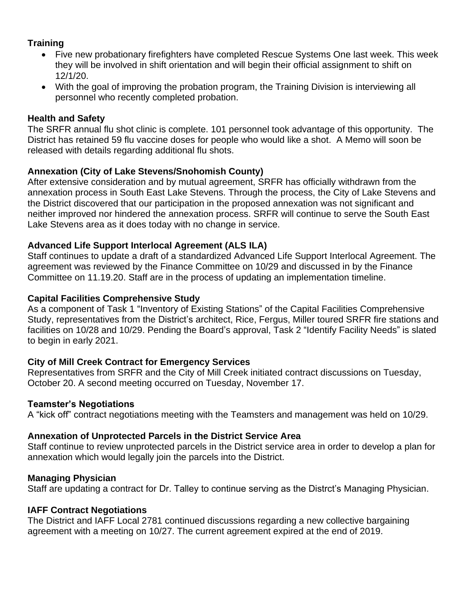# **Training**

- Five new probationary firefighters have completed Rescue Systems One last week. This week they will be involved in shift orientation and will begin their official assignment to shift on 12/1/20.
- With the goal of improving the probation program, the Training Division is interviewing all personnel who recently completed probation.

## **Health and Safety**

The SRFR annual flu shot clinic is complete. 101 personnel took advantage of this opportunity. The District has retained 59 flu vaccine doses for people who would like a shot. A Memo will soon be released with details regarding additional flu shots.

## **Annexation (City of Lake Stevens/Snohomish County)**

After extensive consideration and by mutual agreement, SRFR has officially withdrawn from the annexation process in South East Lake Stevens. Through the process, the City of Lake Stevens and the District discovered that our participation in the proposed annexation was not significant and neither improved nor hindered the annexation process. SRFR will continue to serve the South East Lake Stevens area as it does today with no change in service.

## **Advanced Life Support Interlocal Agreement (ALS ILA)**

Staff continues to update a draft of a standardized Advanced Life Support Interlocal Agreement. The agreement was reviewed by the Finance Committee on 10/29 and discussed in by the Finance Committee on 11.19.20. Staff are in the process of updating an implementation timeline.

### **Capital Facilities Comprehensive Study**

As a component of Task 1 "Inventory of Existing Stations" of the Capital Facilities Comprehensive Study, representatives from the District's architect, Rice, Fergus, Miller toured SRFR fire stations and facilities on 10/28 and 10/29. Pending the Board's approval, Task 2 "Identify Facility Needs" is slated to begin in early 2021.

## **City of Mill Creek Contract for Emergency Services**

Representatives from SRFR and the City of Mill Creek initiated contract discussions on Tuesday, October 20. A second meeting occurred on Tuesday, November 17.

#### **Teamster's Negotiations**

A "kick off" contract negotiations meeting with the Teamsters and management was held on 10/29.

## **Annexation of Unprotected Parcels in the District Service Area**

Staff continue to review unprotected parcels in the District service area in order to develop a plan for annexation which would legally join the parcels into the District.

#### **Managing Physician**

Staff are updating a contract for Dr. Talley to continue serving as the Distrct's Managing Physician.

#### **IAFF Contract Negotiations**

The District and IAFF Local 2781 continued discussions regarding a new collective bargaining agreement with a meeting on 10/27. The current agreement expired at the end of 2019.